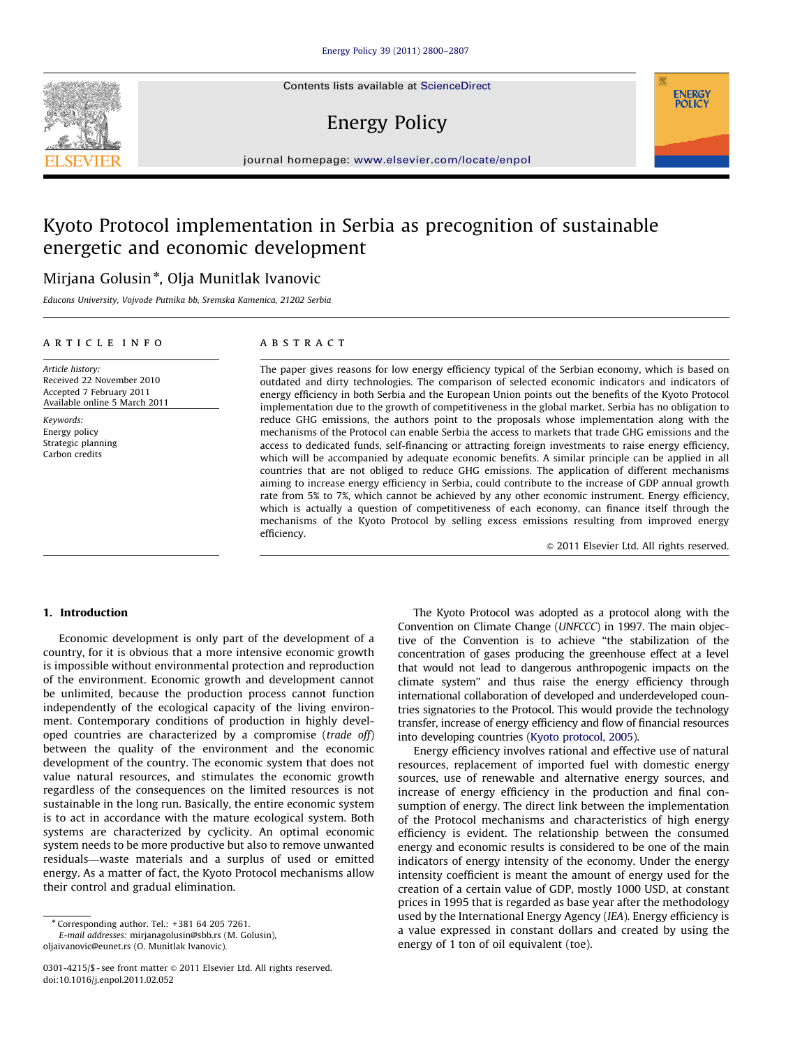Contents lists available at ScienceDirect

# Energy Policy



## Kyoto Protocol implementation in Serbia as precognition of sustainable energetic and economic development

## Mirjana Golusin\*, Olja Munitlak Ivanovic

Educons University, Vojvode Putnika bb, Sremska Kamenica, 21202 Serbia

#### article info

## ABSTRACT

Article history: Received 22 November 2010 Accepted 7 February 2011 Available online 5 March 2011

Keywords: Energy policy Strategic planning Carbon credits

The paper gives reasons for low energy efficiency typical of the Serbian economy, which is based on outdated and dirty technologies. The comparison of selected economic indicators and indicators of energy efficiency in both Serbia and the European Union points out the benefits of the Kyoto Protocol implementation due to the growth of competitiveness in the global market. Serbia has no obligation to reduce GHG emissions, the authors point to the proposals whose implementation along with the mechanisms of the Protocol can enable Serbia the access to markets that trade GHG emissions and the access to dedicated funds, self-financing or attracting foreign investments to raise energy efficiency, which will be accompanied by adequate economic benefits. A similar principle can be applied in all countries that are not obliged to reduce GHG emissions. The application of different mechanisms aiming to increase energy efficiency in Serbia, could contribute to the increase of GDP annual growth rate from 5% to 7%, which cannot be achieved by any other economic instrument. Energy efficiency, which is actually a question of competitiveness of each economy, can finance itself through the mechanisms of the Kyoto Protocol by selling excess emissions resulting from improved energy efficiency.

 $© 2011 Elsevier Ltd. All rights reserved.$ 

**ENERGY POLICY** 

#### 1. Introduction

Economic development is only part of the development of a country, for it is obvious that a more intensive economic growth is impossible without environmental protection and reproduction of the environment. Economic growth and development cannot be unlimited, because the production process cannot function independently of the ecological capacity of the living environment. Contemporary conditions of production in highly developed countries are characterized by a compromise (trade off) between the quality of the environment and the economic development of the country. The economic system that does not value natural resources, and stimulates the economic growth regardless of the consequences on the limited resources is not sustainable in the long run. Basically, the entire economic system is to act in accordance with the mature ecological system. Both systems are characterized by cyclicity. An optimal economic system needs to be more productive but also to remove unwanted residuals—waste materials and a surplus of used or emitted energy. As a matter of fact, the Kyoto Protocol mechanisms allow their control and gradual elimination.

<sup>n</sup> Corresponding author. Tel.: +381 64 205 7261.

E-mail addresses: [mirjanagolusin@sbb.rs \(M. Golusin\)](mailto:mirjanagolusin@sbb.rs), [oljaivanovic@eunet.rs \(O. Munitlak Ivanovic\).](mailto:oljaivanovic@eunet.rs)

The Kyoto Protocol was adopted as a protocol along with the Convention on Climate Change (UNFCCC) in 1997. The main objective of the Convention is to achieve ''the stabilization of the concentration of gases producing the greenhouse effect at a level that would not lead to dangerous anthropogenic impacts on the climate system'' and thus raise the energy efficiency through international collaboration of developed and underdeveloped countries signatories to the Protocol. This would provide the technology transfer, increase of energy efficiency and flow of financial resources into developing countries [\(Kyoto protocol, 2005\)](#page--1-0).

Energy efficiency involves rational and effective use of natural resources, replacement of imported fuel with domestic energy sources, use of renewable and alternative energy sources, and increase of energy efficiency in the production and final consumption of energy. The direct link between the implementation of the Protocol mechanisms and characteristics of high energy efficiency is evident. The relationship between the consumed energy and economic results is considered to be one of the main indicators of energy intensity of the economy. Under the energy intensity coefficient is meant the amount of energy used for the creation of a certain value of GDP, mostly 1000 USD, at constant prices in 1995 that is regarded as base year after the methodology used by the International Energy Agency (IEA). Energy efficiency is a value expressed in constant dollars and created by using the energy of 1 ton of oil equivalent (toe).



<sup>0301-4215/\$ -</sup> see front matter @ 2011 Elsevier Ltd. All rights reserved. doi:[10.1016/j.enpol.2011.02.052](dx.doi.org/10.1016/j.enpol.2011.02.052)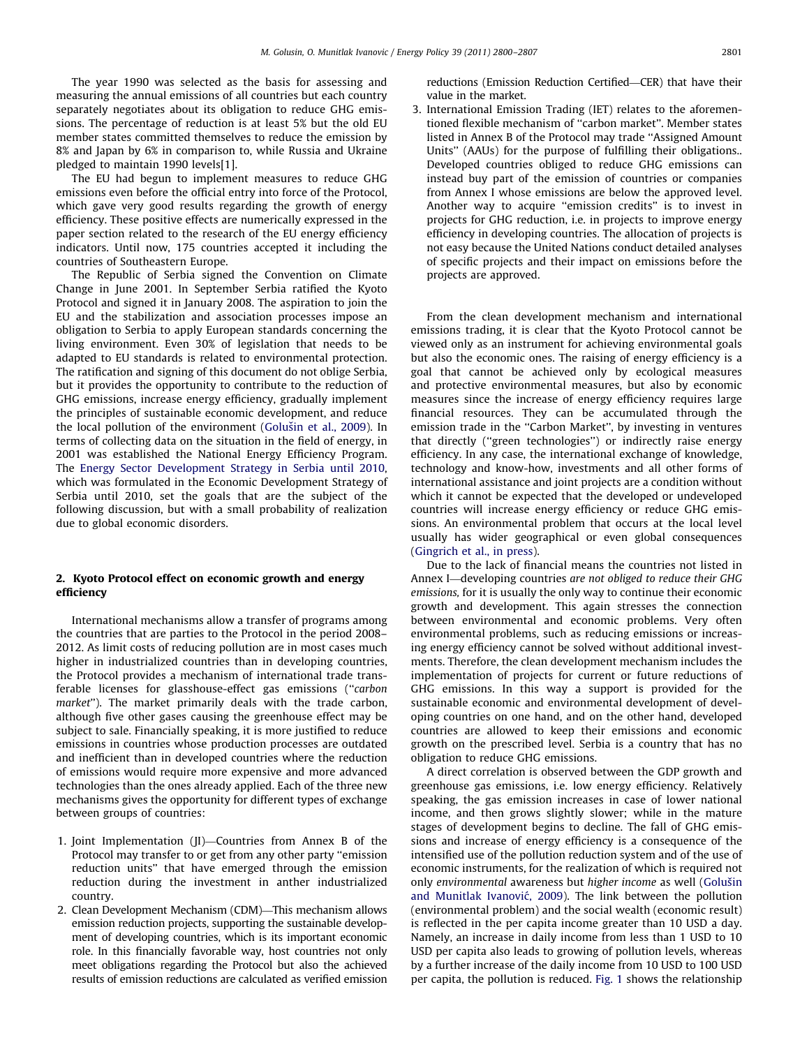The year 1990 was selected as the basis for assessing and measuring the annual emissions of all countries but each country separately negotiates about its obligation to reduce GHG emissions. The percentage of reduction is at least 5% but the old EU member states committed themselves to reduce the emission by 8% and Japan by 6% in comparison to, while Russia and Ukraine pledged to maintain 1990 levels[1].

The EU had begun to implement measures to reduce GHG emissions even before the official entry into force of the Protocol, which gave very good results regarding the growth of energy efficiency. These positive effects are numerically expressed in the paper section related to the research of the EU energy efficiency indicators. Until now, 175 countries accepted it including the countries of Southeastern Europe.

The Republic of Serbia signed the Convention on Climate Change in June 2001. In September Serbia ratified the Kyoto Protocol and signed it in January 2008. The aspiration to join the EU and the stabilization and association processes impose an obligation to Serbia to apply European standards concerning the living environment. Even 30% of legislation that needs to be adapted to EU standards is related to environmental protection. The ratification and signing of this document do not oblige Serbia, but it provides the opportunity to contribute to the reduction of GHG emissions, increase energy efficiency, gradually implement the principles of sustainable economic development, and reduce the local pollution of the environment (Golušin et al., 2009). In terms of collecting data on the situation in the field of energy, in 2001 was established the National Energy Efficiency Program. The [Energy Sector Development Strategy in Serbia until 2010,](#page--1-0) which was formulated in the Economic Development Strategy of Serbia until 2010, set the goals that are the subject of the following discussion, but with a small probability of realization due to global economic disorders.

### 2. Kyoto Protocol effect on economic growth and energy efficiency

International mechanisms allow a transfer of programs among the countries that are parties to the Protocol in the period 2008– 2012. As limit costs of reducing pollution are in most cases much higher in industrialized countries than in developing countries, the Protocol provides a mechanism of international trade transferable licenses for glasshouse-effect gas emissions (''carbon market''). The market primarily deals with the trade carbon, although five other gases causing the greenhouse effect may be subject to sale. Financially speaking, it is more justified to reduce emissions in countries whose production processes are outdated and inefficient than in developed countries where the reduction of emissions would require more expensive and more advanced technologies than the ones already applied. Each of the three new mechanisms gives the opportunity for different types of exchange between groups of countries:

- 1. Joint Implementation (JI)—Countries from Annex B of the Protocol may transfer to or get from any other party ''emission reduction units'' that have emerged through the emission reduction during the investment in anther industrialized country.
- 2. Clean Development Mechanism (CDM)—This mechanism allows emission reduction projects, supporting the sustainable development of developing countries, which is its important economic role. In this financially favorable way, host countries not only meet obligations regarding the Protocol but also the achieved results of emission reductions are calculated as verified emission

reductions (Emission Reduction Certified—CER) that have their value in the market.

3. International Emission Trading (IET) relates to the aforementioned flexible mechanism of ''carbon market''. Member states listed in Annex B of the Protocol may trade ''Assigned Amount Units'' (AAUs) for the purpose of fulfilling their obligations.. Developed countries obliged to reduce GHG emissions can instead buy part of the emission of countries or companies from Annex I whose emissions are below the approved level. Another way to acquire ''emission credits'' is to invest in projects for GHG reduction, i.e. in projects to improve energy efficiency in developing countries. The allocation of projects is not easy because the United Nations conduct detailed analyses of specific projects and their impact on emissions before the projects are approved.

From the clean development mechanism and international emissions trading, it is clear that the Kyoto Protocol cannot be viewed only as an instrument for achieving environmental goals but also the economic ones. The raising of energy efficiency is a goal that cannot be achieved only by ecological measures and protective environmental measures, but also by economic measures since the increase of energy efficiency requires large financial resources. They can be accumulated through the emission trade in the ''Carbon Market'', by investing in ventures that directly (''green technologies'') or indirectly raise energy efficiency. In any case, the international exchange of knowledge, technology and know-how, investments and all other forms of international assistance and joint projects are a condition without which it cannot be expected that the developed or undeveloped countries will increase energy efficiency or reduce GHG emissions. An environmental problem that occurs at the local level usually has wider geographical or even global consequences ([Gingrich et al., in press](#page--1-0)).

Due to the lack of financial means the countries not listed in Annex I—developing countries are not obliged to reduce their GHG emissions, for it is usually the only way to continue their economic growth and development. This again stresses the connection between environmental and economic problems. Very often environmental problems, such as reducing emissions or increasing energy efficiency cannot be solved without additional investments. Therefore, the clean development mechanism includes the implementation of projects for current or future reductions of GHG emissions. In this way a support is provided for the sustainable economic and environmental development of developing countries on one hand, and on the other hand, developed countries are allowed to keep their emissions and economic growth on the prescribed level. Serbia is a country that has no obligation to reduce GHG emissions.

A direct correlation is observed between the GDP growth and greenhouse gas emissions, i.e. low energy efficiency. Relatively speaking, the gas emission increases in case of lower national income, and then grows slightly slower; while in the mature stages of development begins to decline. The fall of GHG emissions and increase of energy efficiency is a consequence of the intensified use of the pollution reduction system and of the use of economic instruments, for the realization of which is required not only environmental awareness but higher income as well (Golušin and Munitlak Ivanović, 2009). The link between the pollution (environmental problem) and the social wealth (economic result) is reflected in the per capita income greater than 10 USD a day. Namely, an increase in daily income from less than 1 USD to 10 USD per capita also leads to growing of pollution levels, whereas by a further increase of the daily income from 10 USD to 100 USD per capita, the pollution is reduced. [Fig. 1](#page--1-0) shows the relationship